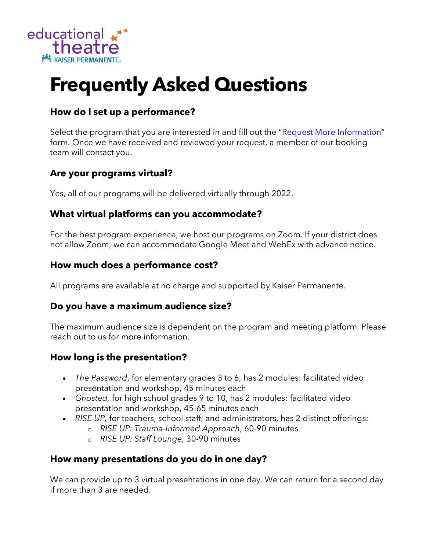

# **Frequently Asked Questions**

# **How do I set up a performance?**

Select the program that you are interested in and fill out the "[Request More Information](https://thrivingschools.kaiserpermanente.org/educational-theatre-request-more-information/)" form. Once we have received and reviewed your request, a member of our booking team will contact you.

## **Are your programs virtual?**

Yes, all of our programs will be delivered virtually through 2022.

## **What virtual platforms can you accommodate?**

For the best program experience, we host our programs on Zoom. If your district does not allow Zoom, we can accommodate Google Meet and WebEx with advance notice.

## **How much does a performance cost?**

All programs are available at no charge and supported by Kaiser Permanente.

## **Do you have a maximum audience size?**

The maximum audience size is dependent on the program and meeting platform. Please reach out to us for more information.

# **How long is the presentation?**

- *The Password*, for elementary grades 3 to 6, has 2 modules: facilitated video presentation and workshop, 45 minutes each
- *Ghosted,* for high school grades 9 to 10, has 2 modules: facilitated video presentation and workshop, 45-65 minutes each
- *RISE UP,* for teachers, school staff, and administrators, has 2 distinct offerings:
	- o *RISE UP: Trauma-Informed Approach*, 60-90 minutes
	- o *RISE UP: Staff Lounge*, 30-90 minutes

# **How many presentations do you do in one day?**

We can provide up to 3 virtual presentations in one day. We can return for a second day if more than 3 are needed.